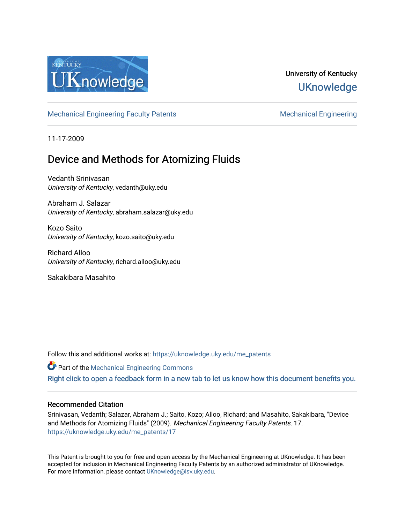

## University of Kentucky **UKnowledge**

[Mechanical Engineering Faculty Patents](https://uknowledge.uky.edu/me_patents) [Mechanical Engineering](https://uknowledge.uky.edu/me) Mechanical Engineering

11-17-2009

## Device and Methods for Atomizing Fluids

Vedanth Srinivasan University of Kentucky, vedanth@uky.edu

Abraham J. Salazar University of Kentucky, abraham.salazar@uky.edu

Kozo Saito University of Kentucky, kozo.saito@uky.edu

Richard Alloo University of Kentucky, richard.alloo@uky.edu

Sakakibara Masahito

Follow this and additional works at: [https://uknowledge.uky.edu/me\\_patents](https://uknowledge.uky.edu/me_patents?utm_source=uknowledge.uky.edu%2Fme_patents%2F17&utm_medium=PDF&utm_campaign=PDFCoverPages) 

**Part of the Mechanical Engineering Commons** 

[Right click to open a feedback form in a new tab to let us know how this document benefits you.](https://uky.az1.qualtrics.com/jfe/form/SV_9mq8fx2GnONRfz7)

## Recommended Citation

Srinivasan, Vedanth; Salazar, Abraham J.; Saito, Kozo; Alloo, Richard; and Masahito, Sakakibara, "Device and Methods for Atomizing Fluids" (2009). Mechanical Engineering Faculty Patents. 17. [https://uknowledge.uky.edu/me\\_patents/17](https://uknowledge.uky.edu/me_patents/17?utm_source=uknowledge.uky.edu%2Fme_patents%2F17&utm_medium=PDF&utm_campaign=PDFCoverPages) 

This Patent is brought to you for free and open access by the Mechanical Engineering at UKnowledge. It has been accepted for inclusion in Mechanical Engineering Faculty Patents by an authorized administrator of UKnowledge. For more information, please contact [UKnowledge@lsv.uky.edu.](mailto:UKnowledge@lsv.uky.edu)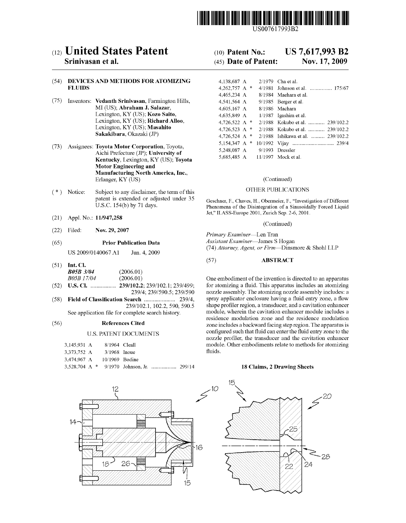

US007617993B2

# (12) United States Patent (10) Patent No.: US 7,617,993 B2<br>Srinivasan et al. (45) Date of Patent: Nov. 17, 2009

## (54) DEVICES AND METHODS FOR ATOMIZING FLUIDS

- $(75)$  Inventors: Vedanth Srinivasan, Farmington Hills, MI (US); Abraham J. Salazar, Lexington, KY (US); Kozo Saito, Lexington, KY (US); Richard Alloo, Lexington, KY (US); Masahito<br>Sakakibara, Okazaki (JP)
- $(73)$  Assignees: Toyota Motor Corporation, Toyota, Aichi Prefecture (JP); University of Kentucky, Lexington, KY (US); Toyota Motor Engineering and Manufacturing North America, Inc., Erlanger, KY (US) (Continued)
- ( \* ) Notice: Subject to any disclaimer, the term of this OTHER PUBLICATIONS patent is extended or adjusted under 35 Geschner, F., Chaves, H., Obermeier, F., "Investigation of Different U.S.C. 154(b) by 71 days.<br>Phenomena of the Disintegration of a Sinusoidally Forced Liquid
- (21) Appl.No.: 11/947,258
- (22) Filed: Nov.  $29, 2007$  Primary Examiner—Len Tran

US 2009/0140067 A1 Jun. 4, 2009

(51) Int. C1.

| <b>B05B 3/04</b> | (2006.01) |
|------------------|-----------|
| B05B 17/04       | (2006.01) |

- 
- (58) Field of Classification Search .......................... 239/4,<br>239/102.1, 102.2, 590, 590.5
	-

#### U.S. PATENT DOCUMENTS

| 3.145.931 A                |  | 8/1964 Cleall  |  |  |
|----------------------------|--|----------------|--|--|
| 3.373.752 A                |  | $3/1968$ Inoue |  |  |
| 3,474,967 A 10/1969 Bodine |  |                |  |  |
|                            |  |                |  |  |



## $(45)$  Date of Patent:

|         | DEVICES AND METHODS FOR ATOMIZING                                                    | 4.138.687 A                     | 2/1979 Cha et al.                                 |
|---------|--------------------------------------------------------------------------------------|---------------------------------|---------------------------------------------------|
| FLUIDS- |                                                                                      | 4,262,757 A $*$                 | 4/1981 Johnson et al.  175/67                     |
|         |                                                                                      | 4,465,234 A                     | 8/1984 Maehara et al.                             |
|         | Inventors: <b>Vedanth Srinivasan</b> , Farmington Hills,                             | 4,541,564 A                     | $9/1985$ Berger et al.                            |
|         | MI (US); Abraham J. Salazar,                                                         | 4.605.167 A                     | 8/1986 Machara                                    |
|         | Lexington, KY (US); Kozo Saito,                                                      | 4,635,849 A                     | $1/1987$ Igashira et al.                          |
|         | Lexington, KY (US); Richard Alloo,                                                   |                                 | 4.726.522 A $*$ 2/1988 Kokubo et al.  239/102.2   |
|         | Lexington, KY (US); <b>Masshito</b>                                                  |                                 | 4.726.523 A $*$ 2/1988 Kokubo et al.  239/102.2   |
|         | Sakakibara, Okazaki (JP)                                                             |                                 | 4,726,524 A $*$ 2/1988 Ishikawa et al.  239/102.2 |
|         | Assignees: Tovota Motor Corporation, Toyota,<br>Aichi Prefecture (JP); University of |                                 |                                                   |
|         |                                                                                      | 5,248,087 A                     | 9/1993 Dressler                                   |
|         | $V$ ontualzy Lovington, $VV$ (HR): Toyota                                            | 5.685.485 A 11/1997 Mock et al. |                                                   |

Phenomena of the Disintegration of a Sinusoidally Forced Liquid Jet," ILASS-Europe 2001, Zurich Sep. 2-6, 2001.

#### (Continued)

(65) **Prior Publication Data** Assistant Examiner—James S Hogan (74) Attorney, Agent, or Firm-Dinsmore & Shohl LLP

#### (57) ABSTRACT

One embodiment of the invention is directed to an apparatus (52) US. Cl. ............... .. 239/102.2; 239/102.1; 239/499; for atomiZing a ?uid. This apparatus includes an atomiZing nozzle assembly. The atomizing nozzle assembly includes: a spray applicator enclosure having a fluid entry zone, a flow shape profiler region, a transducer, and a cavitation enhancer module, wherein the cavitation enhancer module includes a See application file for complete search history.<br>
The module, wherein the cavitation enhancer module includes a residence modulation zone and the residence modulation<br>
The annaratus is (56) References Cited zone includes a backward facing step region. The apparatus is configured such that fluid can enter the fluid entry zone to the nozzle profiler, the transducer and the cavitation enhancer module. Other embodiments relate to methods for atomizing fluids.

### 18 Claims, 2 Drawing Sheets

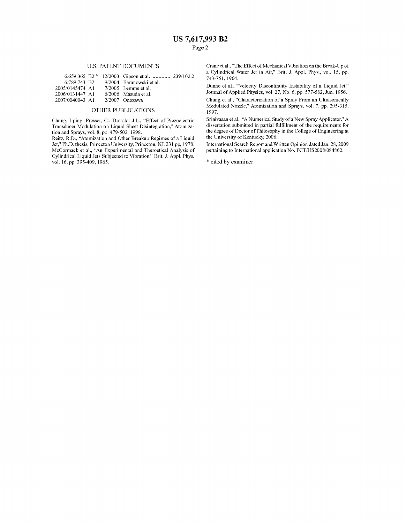### U.S. PATENT DOCUMENTS

|                 |  | 6.659.365 B2 * $12/2003$ Gipson et al.  239/102.2 |  |
|-----------------|--|---------------------------------------------------|--|
| 6.789.743 B2    |  | 9/2004 Baranowski et al.                          |  |
| 2005/0145474 A1 |  | $7/2005$ Lemme et al.                             |  |
| 2006/0131447 A1 |  | $6/2006$ Masuda et al.                            |  |
| 2007/0040043 A1 |  | $2/2007$ Onozawa                                  |  |
|                 |  |                                                   |  |

#### OTHER PUBLICATIONS

Chung, I-ping, Presser, C., Dressler J.L., "Effect of Piezoelectric Transducer Modulation on Liquid Sheet Disintegration," Atomiza tion and Sprays, vol. 8, pp. 479-502, 1998.

Reitz, R.D., "Atomization and Other Breakup Regimes of a Liquid Jet," Ph.D. thesis, Princeton University, Princeton, NJ. 231 pp, 1978. McCormack et al., "An Experimental and Theroetical Analysis of Cylindrical Liquid Jets Subjected to Vibration," Brit. J. Appl. Phys, vol. 16, pp. 395-409, 1965.

Crane et al., "The Effect of Mechanical Vibration on the Break-Up of a Cylindrical Water Jet in Air," Brit. J. Appl. Phys., vol. 15, pp. 743-751,1964.

Dunne et al., "Velocity Discontinuity Instability of a Liquid Jet," Journal of Applied Physics, vol. 27, No. 6, pp. 577-582, Jun. 1956.

Chung et al., "Characterization of a Spray From an Ultrasonically Modulated Nozzle," Atomization and Sprays, vol. 7, pp. 295-315, 1997.

Srinivasan et al., "A Numerical Study of a New Spray Applicator," A dissertation submitted in partial fulfillment of the requirements for the degree of Doctor of Philosophy in the College of Engineering at the University of Kentucky, 2006.

International Search Report and Written Opinion dated Jan. 28, 2009 pertaining to International application No. PCT/US2008/084862.

\* cited by examiner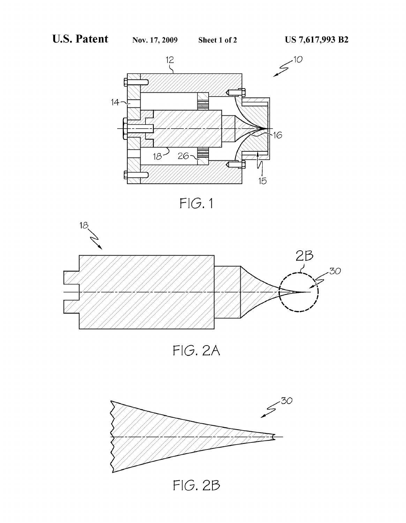





FIG. 2A

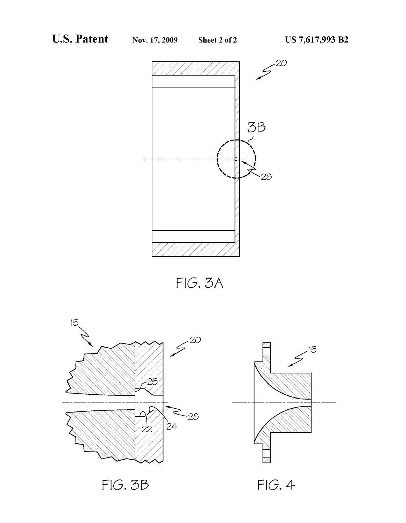

FIG. 5A

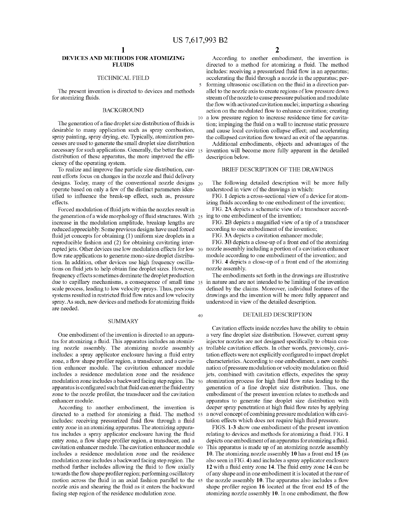10

40

## DEVICES AND METHODS FOR ATOMIZING FLUIDS

#### TECHNICAL FIELD

The present invention is directed to devices and methods for atomizing fluids.

#### BACKGROUND

The generation of a fine droplet size distribution of fluids is desirable to many application such as spray combustion, spray painting, spray drying, etc. Typically, atomization pro cesses are used to generate the small droplet size distribution necessary for such applications. Generally, the better the size 15 distribution of these apparatus, the more improved the efficiency of the operating system.

To realize and improve fine particle size distribution, current efforts focus on changes in the nozzle and fluid delivery designs. Today, many of the conventional nozzle designs 20 operate based on only a feW of the distinct parameters iden tified to influence the break-up effect, such as, pressure effects.

Forced modulation of fluid jets within the nozzles result in the generation of a wide morphology of fluid structures. With  $25$ increase in the modulation amplitude, breakup lengths are reduced appreciably. Some previous designs have used forced fluid jet concepts for obtaining (1) uniform size droplets in a reproducible fashion and (2) for obtaining cavitating inter rupted jets. Other devices use loW modulation effects for loW 30 flow rate applications to generate mono-size droplet distribution. In addition, other devices use high frequency oscilla tions on fluid jets to help obtain fine droplet sizes. However, frequency effects sometimes dominate the droplet production due to capillary mechanisms, a consequence of small time 35 in nature and are not intended to be limiting of the invention scale process, leading to loW velocity sprays. Thus, previous systems resulted in restricted fluid flow rates and low velocity spray. As such, new devices and methods for atomizing fluids are needed.

#### SUMMARY

One embodiment of the invention is directed to an appara tus for atomizing a fluid. This apparatus includes an atomizing nozzle assembly. The atomizing nozzle assembly 45 includes: a spray applicator enclosure having a fluid entry zone, a flow shape profiler region, a transducer, and a cavitation enhancer module. The cavitation enhancer module includes a residence modulation zone and the residence modulation zone includes a backward facing step region. The 50 apparatus is configured such that fluid can enter the fluid entry zone to the nozzle profiler, the transducer and the cavitation enhancer module.

According to another embodiment, the invention is directed to a method for atomizing a fluid. The method 55 includes: receiving pressurized fluid flow through a fluid entry zone in an atomizing apparatus. The atomizing appara tus includes a spray applicator enclosure having the fluid entry zone, a flow shape profiler region, a transducer, and a cavitation enhancer module. The cavitation enhancer module 60 includes a residence modulation zone and the residence modulation zone includes a backward facing step region. The method further includes allowing the fluid to flow axially towards the flow shape profiler region; performing oscillatory motion across the fluid in an axial fashion parallel to the 65 nozzle axis and shearing the fluid as it enters the backward facing step region of the residence modulation zone.

2

According to another embodiment, the invention is directed to a method for atomizing a fluid. The method includes: receiving a pressurized fluid flow in an apparatus; accelerating the fluid through a nozzle in the apparatus; performing ultrasonic oscillation on the fluid in a direction parallel to the nozzle axis to create regions of low pressure down stream of the nozzle to cause pressure pulsation and modulate the flow with activated cavitation nuclei; imparting a shearing action on the modulated flow to enhance cavitation; creating a loW pressure region to increase residence time for cavita tion; impinging the fluid on a wall to increase static pressure and cause local cavitation collapse effect; and accelerating the collapsed cavitation flow toward an exit of the apparatus.

Additional embodiments, objects and advantages of the invention Will become more fully apparent in the detailed description beloW.

### BRIEF DESCRIPTION OF THE DRAWINGS

The following detailed description will be more fully understood in vieW of the draWings in Which:

FIG. 1 depicts a cross-sectional vieW of a device for atom izing fluids according to one embodiment of the invention;

FIG. 2A depicts a schematic vieW of a transducer accord ing to one embodiment of the invention;

FIG. 2B depicts a magnified view of a tip of a transducer according to one embodiment of the invention;

FIG. 3A depicts a cavitation enhancer module;

FIG. 3B depicts a close-up of a front end of the atomizing nozzle assembly including a portion of a cavitation enhancer module according to one embodiment of the invention; and

FIG. 4 depicts a close-up of a front end of the atomizing nozzle assembly.

The embodiments set forth in the drawings are illustrative defined by the claims. Moreover, individual features of the draWings and the invention Will be more fully apparent and understood in vieW of the detailed description.

### DETAILED DESCRIPTION

Cavitation effects inside nozzles have the ability to obtain a very fine droplet size distribution. However, current spray injector nozzles are not designed specifically to obtain controllable cavitation effects. In other Words, previously, cavi tation effects were not explicitly configured to impact droplet characteristics. According to one embodiment, a new combination of pressure modulation or velocity modulation on fluid jets, combined With cavitation effects, expedites the spray atomization process for high fluid flow rates leading to the generation of a fine droplet size distribution. Thus, one embodiment of the present invention relates to methods and apparatus to generate fine droplet size distribution with deeper spray penetration at high fluid flow rates by applying a novel concept of combining pressure modulation With cavi tation effects which does not require high fluid pressure.

FIGS. 1-3 shoW one embodiment of the present invention relating to devices and methods for atomizing a fluid. FIG. 1 depicts one embodiment of an apparatus for atomizing a fluid. This apparatus is made up of an atomizing nozzle assembly 10. The atomizing nozzle assembly 10 has a front end 15 (as also seen in FIG. 4) and includes a spray applicator enclosure 12 with a fluid entry zone 14. The fluid entry zone 14 can be of any shape and in one embodiment it is located at the rear of the nozzle assembly  $10$ . The apparatus also includes a flow shape profiler region 16 located at the front end 15 of the atomizing nozzle assembly 10. In one embodiment, the flow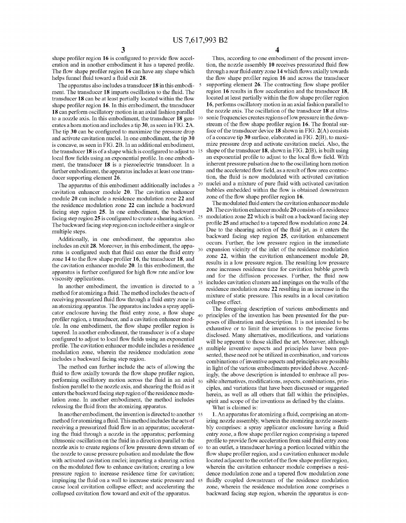35

 $40<sup>°</sup>$ 

 $45$ 

shape profiler region  $16$  is configured to provide flow acceleration and in another embodiment it has a tapered profile. The flow shape profiler region 16 can have any shape which helps funnel fluid toward a fluid exit 28.

The apparatus also includes a transducer 18 in this embodiment. The transducer 18 imparts oscillation to the fluid. The transducer 18 can be at least partially located within the flow shape profiler region 16. In this embodiment, the transducer 18 can perform oscillatory motion in an axial fashion parallel to a nozzle axis. In this embodiment, the transducer 18 gen- 10 erates a horn motion and includes a tip 30, as seen in FIG. 2A. The tip 30 can be configured to maximize the pressure drop and activate cavitation nuclei. In one embodiment, the tip 30 is concave, as seen in FIG. 2B. In an additional embodiment, the transducer 18 is of a shape which is configured to adjust to  $15$ local flow fields using an exponential profile. In one embodiment, the transducer 18 is a piezoelectric transducer. In a further embodiment, the apparatus includes at least one trans ducer supporting element 26.

The apparatus of this embodiment additionally includes a  $20$ cavitation enhancer module 20. The cavitation enhancer module 20 can include a residence modulation zone 22 and the residence modulation zone 22 can include a backward facing step region 25. In one embodiment, the backward facing step region 25 is configured to create a shearing action.  $25$ The backWard facing step region can include either a single or multiple steps.

Additionally, in one embodiment, the apparatus also includes an exit 28. Moreover, in this embodiment, the appa ratus is configured such that fluid can enter the fluid entry zone 14 to the flow shape profiler 16, the transducer 18, and the cavitation enhancer module 20. In this embodiment, the apparatus is further configured for high flow rate and/or low viscosity applications.

In another embodiment, the invention is directed to a method for atomizing a fluid. The method includes the acts of receiving pressurized fluid flow through a fluid entry zone in an atomizing apparatus. The apparatus includes a spray appli cator enclosure having the fluid entry zone, a flow shape profiler region, a transducer, and a cavitation enhancer module. In one embodiment, the flow shape profiler region is tapered. In another embodiment, the transducer is of a shape configured to adjust to local flow fields using an exponential profile. The cavitation enhancer module includes a residence modulation zone, Wherein the residence modulation zone includes a backWard facing step region.

The method can further include the acts of allowing the fluid to flow axially towards the flow shape profiler region, performing oscillatory motion across the fluid in an axial  $_{50}$ fashion parallel to the nozzle axis, and shearing the fluid as it enters the backWard facing step region of the residence modu lation zone. In another embodiment, the method includes releasing the fluid from the atomizing apparatus.

In another embodiment, the invention is directed to another 55 method for atomizing a fluid. This method includes the acts of receiving a pressurized fluid flow in an apparatus; accelerating the fluid through a nozzle in the apparatus; performing ultrasonic oscillation on the fluid in a direction parallel to the nozzle axis to create regions of low pressure down stream of 60 the nozzle to cause pressure pulsation and modulate the flow with activated cavitation nuclei; imparting a shearing action on the modulated flow to enhance cavitation; creating a low pressure region to increase residence time for cavitation; impinging the fluid on a wall to increase static pressure and 65 cause local cavitation collapse effect; and accelerating the collapsed cavitation flow toward and exit of the apparatus.

4

Thus, according to one embodiment of the present inven tion, the nozzle assembly 10 receives pressurized fluid flow through a rear fluid entry zone 14 which flows axially towards the flow shape profiler region 16 and across the transducer supporting element 26. The contracting flow shape profiler region 16 results in flow acceleration and the transducer 18, located at least partially within the flow shape profiler region 16, performs oscillatory motion in an axial fashion parallel to the nozzle axis. The oscillation of the transducer 18 at ultra sonic frequencies creates regions of low pressure in the downstream of the flow shape profiler region 16. The frontal surface of the transducer device  $18$  shown in FIG.  $2(A)$  consists of a concave tip 30 surface, elaborated in FIG. 2(B), to maxi mize pressure drop and activate cavitation nuclei. Also, the shape of the transducer  $18$ , shown in FIG.  $2(B)$ , is built using an exponential profile to adjust to the local flow field. With inherent pressure pulsation due to the oscillating horn motion and the accelerated flow field, as a result of flow area contraction, the fluid is now modulated with activated cavitation nuclei and a mixture of pure fluid with activated cavitation bubbles embedded within the flow is obtained downstream zone of the flow shape profiler region 16.

The modulated fluid enters the cavitation enhancer module 20. The cavitation enhancer module 20 consists of a residence modulation zone 22 which is built on a backward facing step profile 25 and attached to a tapered flow modulation zone 24. Due to the shearing action of the fluid jet, as it enters the backWard facing step region 25, cavitation enhancement occurs. Further, the loW pressure region in the immediate expansion vicinity of the inlet of the residence modulation zone 22, Within the cavitation enhancement module 20, results in a low pressure region. The resulting low pressure zone increases residence time for cavitation bubble growth and for the diffusion processes. Further, the fluid now includes cavitation clusters and impinges on the Walls of the residence modulation zone 22 resulting in an increase in the mixture of static pressure. This results in a local cavitation collapse effect.

The foregoing description of various embodiments and principles of the invention has been presented for the pur poses of illustration and description. It is not intended to be exhaustive or to limit the inventions to the precise forms disclosed. Many alternatives, modifications, and variations will be apparent to those skilled the art. Moreover, although multiple inventive aspects and principles have been pre sented, these need not be utilized in combination, and various combinations of inventive aspects and principles are possible in light of the various embodiments provided above. Accord ingly, the above description is intended to embrace all pos sible alternatives, modifications, aspects, combinations, principles, and variations that have been discussed or suggested herein, as well as all others that fall within the principles, spirit and scope of the inventions as defined by the claims.

What is claimed is:

1. An apparatus for atomizing a fluid, comprising an atomizing nozzle assembly, Wherein the atomizing nozzle assem bly comprises: a spray applicator enclosure having a fluid entry zone, a flow shape profiler region comprising a tapered profile to provide flow acceleration from said fluid entry zone to an outlet, a transducer having a portion located Within the flow shape profiler region, and a cavitation enhancer module located adjacent to the outlet of the flow shape profiler region, Wherein the cavitation enhancer module comprises a resi dence modulation zone and a tapered flow modulation zone fluidly coupled downstream of the residence modulation zone, Wherein the residence modulation zone comprises a backWard facing step region, Wherein the apparatus is con